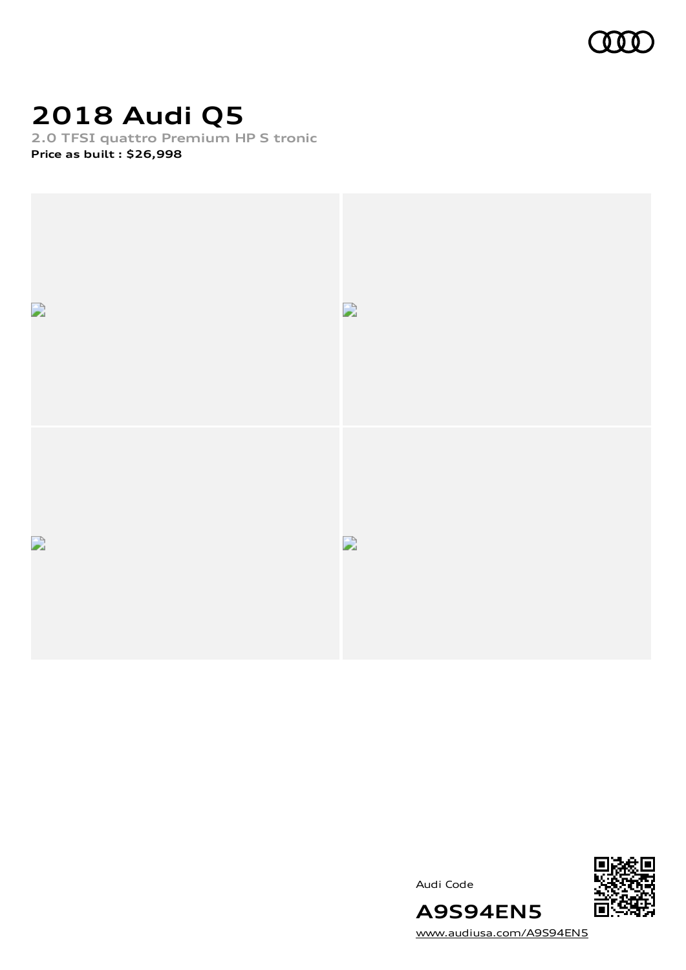

# **2018 Audi Q5**

**2.0 TFSI quattro Premium HP S tronic**

**Price as built [:](#page-9-0) \$26,998**



Audi Code



[www.audiusa.com/A9S94EN5](https://www.audiusa.com/A9S94EN5)

**A9S94EN5**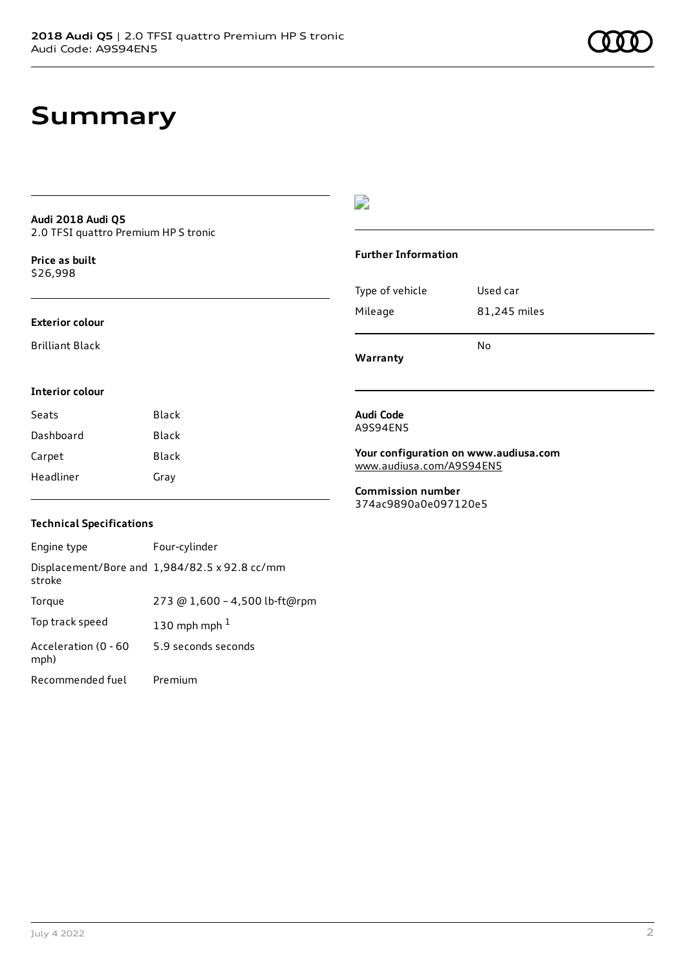#### **Audi 2018 Audi Q5** 2.0 TFSI quattro Premium HP S tronic

**Price as buil[t](#page-9-0)** \$26,998

#### **Exterior colour**

Brilliant Black

### $\overline{\phantom{a}}$

#### **Further Information**

|                 | No           |
|-----------------|--------------|
| Mileage         | 81,245 miles |
| Type of vehicle | Used car     |

**Warranty**

### **Interior colour**

| Seats     | Black |
|-----------|-------|
| Dashboard | Black |
| Carpet    | Black |
| Headliner | Gray  |

#### **Audi Code** A9S94EN5

**Your configuration on www.audiusa.com** [www.audiusa.com/A9S94EN5](https://www.audiusa.com/A9S94EN5)

**Commission number** 374ac9890a0e097120e5

### **Technical Specifications**

| Engine type                  | Four-cylinder                                 |
|------------------------------|-----------------------------------------------|
| stroke                       | Displacement/Bore and 1,984/82.5 x 92.8 cc/mm |
| Torque                       | 273 @ 1,600 - 4,500 lb-ft@rpm                 |
| Top track speed              | 130 mph mph $1$                               |
| Acceleration (0 - 60<br>mph) | 5.9 seconds seconds                           |
| Recommended fuel             | Premium                                       |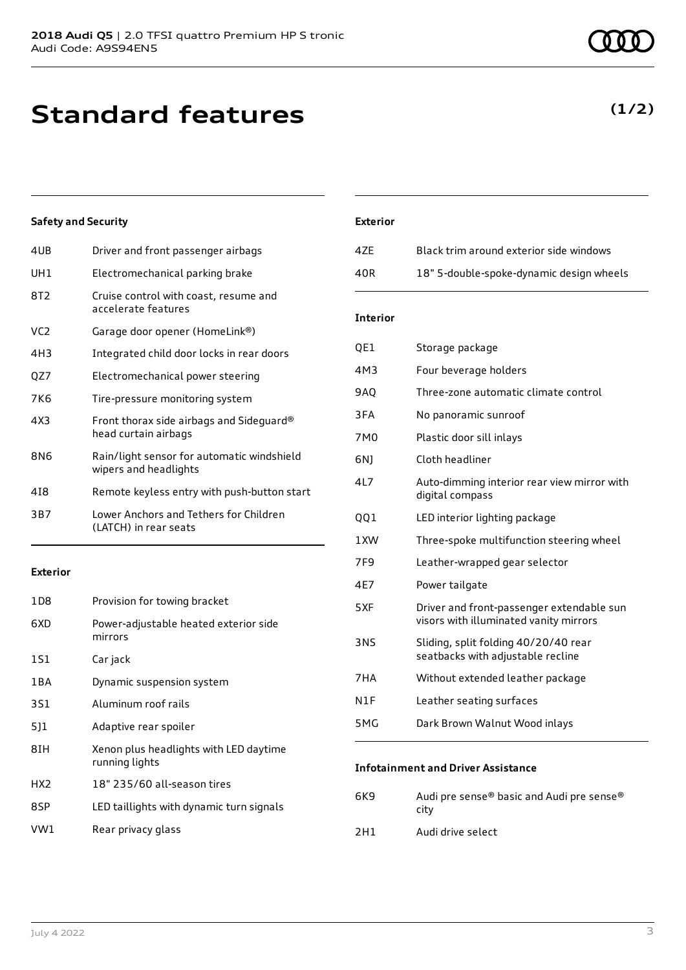## **Standard features**

### **Safety and Security**

| 4UB             | Driver and front passenger airbags                                  |
|-----------------|---------------------------------------------------------------------|
| UH1             | Electromechanical parking brake                                     |
| 8T <sub>2</sub> | Cruise control with coast, resume and<br>accelerate features        |
| VC <sub>2</sub> | Garage door opener (HomeLink®)                                      |
| 4H3             | Integrated child door locks in rear doors                           |
| QZ7             | Electromechanical power steering                                    |
| 7K6             | Tire-pressure monitoring system                                     |
| 4X3             | Front thorax side airbags and Sideguard®<br>head curtain airbags    |
| 8N6             | Rain/light sensor for automatic windshield<br>wipers and headlights |
| 418             | Remote keyless entry with push-button start                         |
| 3B7             | Lower Anchors and Tethers for Children<br>(LATCH) in rear seats     |
|                 |                                                                     |

#### **Exterior**

| 1D8   | Provision for towing bracket                             |
|-------|----------------------------------------------------------|
| 6XD   | Power-adjustable heated exterior side<br>mirrors         |
| 1S1   | Car jack                                                 |
| 1 B A | Dynamic suspension system                                |
| 3S1   | Aluminum roof rails                                      |
| 511   | Adaptive rear spoiler                                    |
| 8IH   | Xenon plus headlights with LED daytime<br>running lights |
| HX2   | 18" 235/60 all-season tires                              |
| 8SP   | LED taillights with dynamic turn signals                 |
| VW1   | Rear privacy glass                                       |

### **Exterior**

| 47F | Black trim around exterior side windows  |
|-----|------------------------------------------|
| 40R | 18" 5-double-spoke-dynamic design wheels |

### **Interior**

| QE1 | Storage package                                                                     |
|-----|-------------------------------------------------------------------------------------|
| 4M3 | Four beverage holders                                                               |
| 9AQ | Three-zone automatic climate control                                                |
| 3FA | No panoramic sunroof                                                                |
| 7M0 | Plastic door sill inlays                                                            |
| 6N) | Cloth headliner                                                                     |
| 4L7 | Auto-dimming interior rear view mirror with<br>digital compass                      |
| QQ1 | LED interior lighting package                                                       |
| 1XW | Three-spoke multifunction steering wheel                                            |
| 7F9 | Leather-wrapped gear selector                                                       |
| 4E7 | Power tailgate                                                                      |
| 5XF | Driver and front-passenger extendable sun<br>visors with illuminated vanity mirrors |
| 3NS | Sliding, split folding 40/20/40 rear<br>seatbacks with adjustable recline           |
| 7HA | Without extended leather package                                                    |
| N1F | Leather seating surfaces                                                            |
| 5MG | Dark Brown Walnut Wood inlays                                                       |

### **Infotainment and Driver Assistance**

| 6K9 | Audi pre sense® basic and Audi pre sense®<br>city |
|-----|---------------------------------------------------|
| 2H1 | Audi drive select                                 |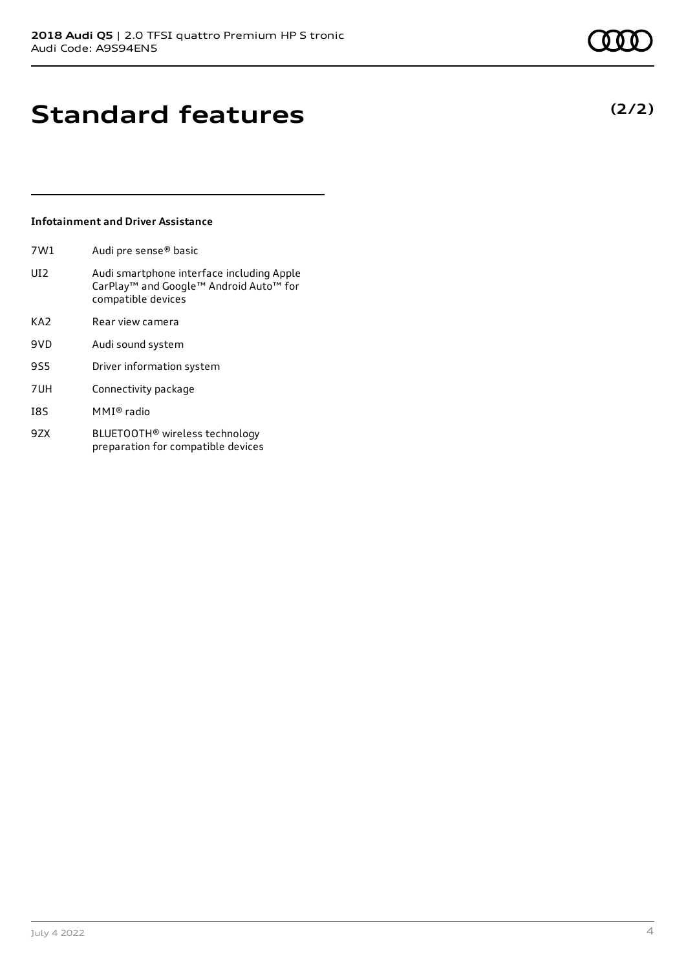**(2/2)**

## **Standard features**

### **Infotainment and Driver Assistance**

| 7W1 |  | Audi pre sense <sup>®</sup> basic |
|-----|--|-----------------------------------|
|-----|--|-----------------------------------|

- UI2 Audi smartphone interface including Apple CarPlay™ and Google™ Android Auto™ for compatible devices
- KA2 Rear view camera
- 9VD Audi sound system
- 9S5 Driver information system
- 7UH Connectivity package
- I8S MMI® radio
- 9ZX BLUETOOTH® wireless technology preparation for compatible devices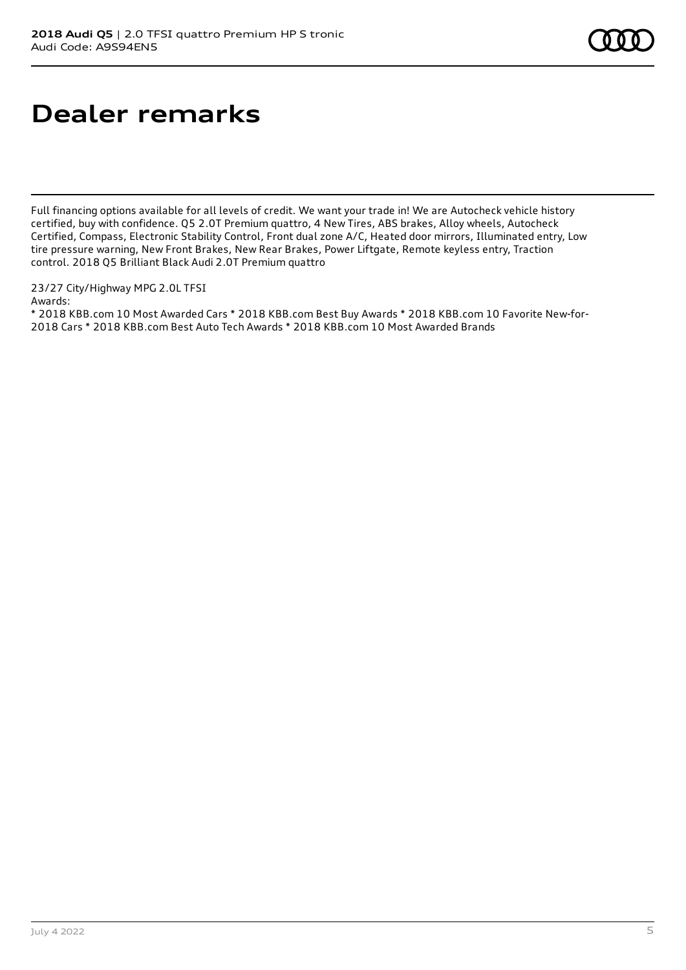## **Dealer remarks**

Full financing options available for all levels of credit. We want your trade in! We are Autocheck vehicle history certified, buy with confidence. Q5 2.0T Premium quattro, 4 New Tires, ABS brakes, Alloy wheels, Autocheck Certified, Compass, Electronic Stability Control, Front dual zone A/C, Heated door mirrors, Illuminated entry, Low tire pressure warning, New Front Brakes, New Rear Brakes, Power Liftgate, Remote keyless entry, Traction control. 2018 Q5 Brilliant Black Audi 2.0T Premium quattro

23/27 City/Highway MPG 2.0L TFSI Awards:

\* 2018 KBB.com 10 Most Awarded Cars \* 2018 KBB.com Best Buy Awards \* 2018 KBB.com 10 Favorite New-for-2018 Cars \* 2018 KBB.com Best Auto Tech Awards \* 2018 KBB.com 10 Most Awarded Brands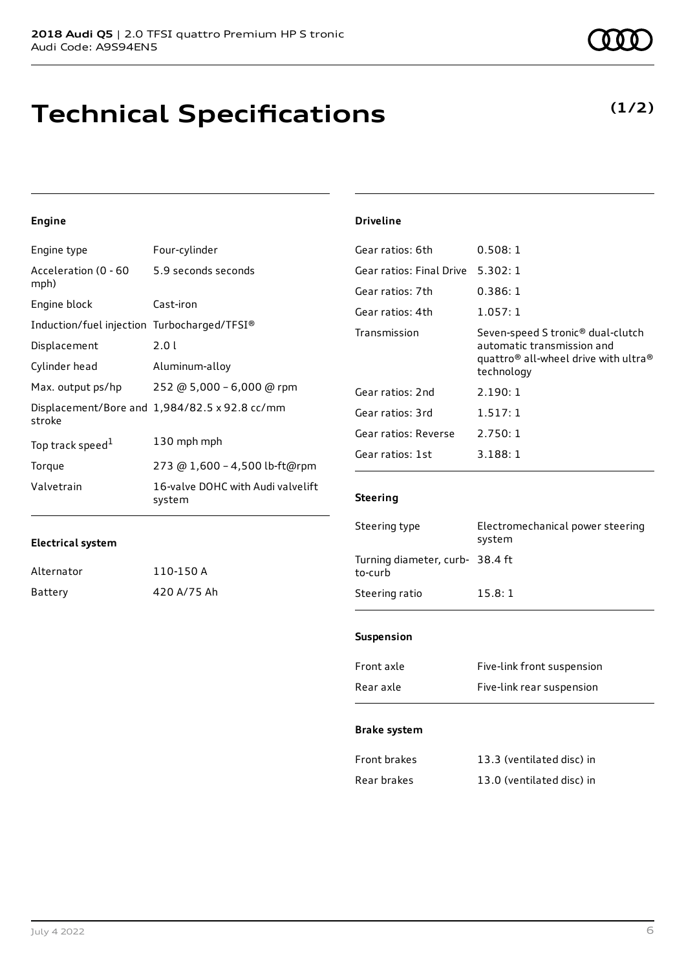## **Technical Specifications**

### **Engine**

| Engine type                                 | Four-cylinder                                 |
|---------------------------------------------|-----------------------------------------------|
| Acceleration (0 - 60<br>mph)                | 5.9 seconds seconds                           |
| Engine block                                | Cast-iron                                     |
| Induction/fuel injection Turbocharged/TFSI® |                                               |
| Displacement                                | 2.0 L                                         |
| Cylinder head                               | Aluminum-alloy                                |
| Max. output ps/hp                           | 252 @ 5,000 - 6,000 @ rpm                     |
| stroke                                      | Displacement/Bore and 1,984/82.5 x 92.8 cc/mm |
| Top track speed <sup>1</sup>                | 130 mph mph                                   |
| Torque                                      | 273 @ 1,600 - 4,500 lb-ft@rpm                 |
| Valvetrain                                  | 16-valve DOHC with Audi valvelift<br>system   |

#### **Driveline**

| Gear ratios: 6th         | 0.508:1                                                                                                                                                   |
|--------------------------|-----------------------------------------------------------------------------------------------------------------------------------------------------------|
| Gear ratios: Final Drive | 5.302:1                                                                                                                                                   |
| Gear ratios: 7th         | 0.386:1                                                                                                                                                   |
| Gear ratios: 4th         | 1.057:1                                                                                                                                                   |
| Transmission             | Seven-speed S tronic <sup>®</sup> dual-clutch<br>automatic transmission and<br>quattro <sup>®</sup> all-wheel drive with ultra <sup>®</sup><br>technology |
| Gear ratios: 2nd         | 2.190:1                                                                                                                                                   |
| Gear ratios: 3rd         | 1.517:1                                                                                                                                                   |
| Gear ratios: Reverse     | 2.750:1                                                                                                                                                   |
| Gear ratios: 1st         | 3.188:1                                                                                                                                                   |

### **Steering**

| Steering type                              | Electromechanical power steering<br>system |
|--------------------------------------------|--------------------------------------------|
| Turning diameter, curb- 38.4 ft<br>to-curb |                                            |
| Steering ratio                             | 15.8:1                                     |
|                                            |                                            |

### **Suspension**

| Front axle | Five-link front suspension |
|------------|----------------------------|
| Rear axle  | Five-link rear suspension  |

#### **Brake system**

| Front brakes | 13.3 (ventilated disc) in |
|--------------|---------------------------|
| Rear brakes  | 13.0 (ventilated disc) in |

Alternator Battery

| 110-150 A |             |
|-----------|-------------|
|           | 420 A/75 Ah |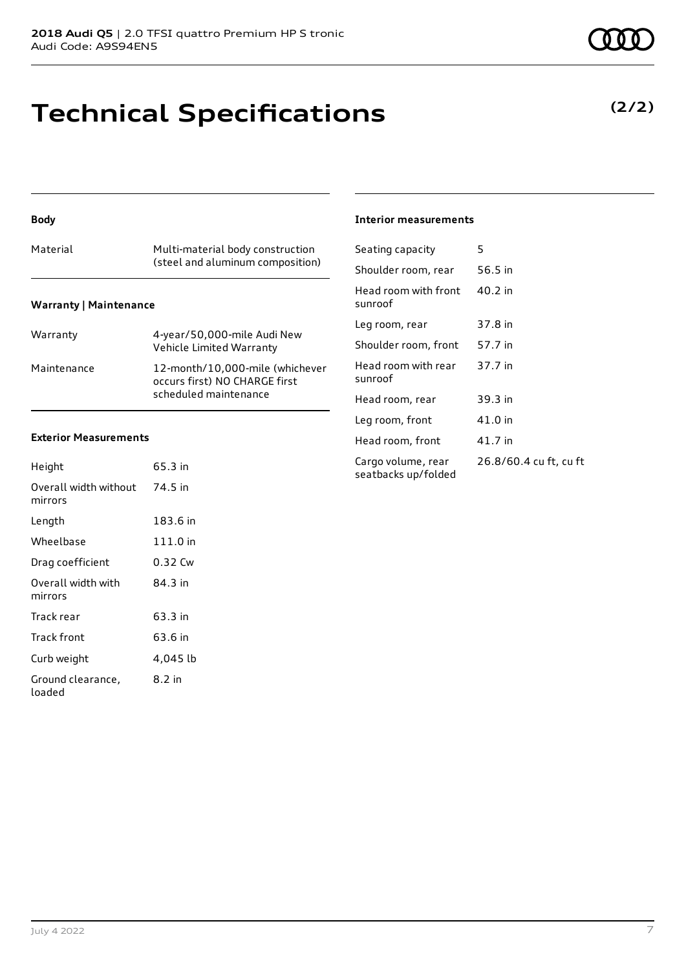# **Technical Specifications**

## (steel and aluminum composition) **Warranty | Maintenance**

**Body**

| Warranty    | 4-year/50,000-mile Audi New<br>Vehicle Limited Warranty                                   |
|-------------|-------------------------------------------------------------------------------------------|
| Maintenance | 12-month/10,000-mile (whichever<br>occurs first) NO CHARGE first<br>scheduled maintenance |

Material Multi-material body construction

### **Exterior Measurements**

| Height                           | 65.3 in  |
|----------------------------------|----------|
| Overall width without<br>mirrors | 74.5 in  |
| Length                           | 183.6 in |
| Wheelbase                        | 111.0 in |
| Drag coefficient                 | 0.32 Cw  |
| Overall width with<br>mirrors    | 84 3 in  |
| Track rear                       | 63.3 in  |
| Track front                      | 63.6 in  |
| Curb weight                      | 4,045 lb |
| Ground clearance,<br>loaded      | 8.2 in   |

#### **Interior measurements**

| Seating capacity                          | 5                      |
|-------------------------------------------|------------------------|
| Shoulder room, rear                       | 56.5 in                |
| Head room with front<br>sunroof           | 40.2 in                |
| Leg room, rear                            | 37.8 in                |
| Shoulder room, front                      | 57.7 in                |
| Head room with rear<br>sunroof            | 37.7 in                |
| Head room, rear                           | 39.3 in                |
| Leg room, front                           | 41.0 in                |
| Head room, front                          | 41.7 in                |
| Cargo volume, rear<br>seatbacks up/folded | 26.8/60.4 cu ft, cu ft |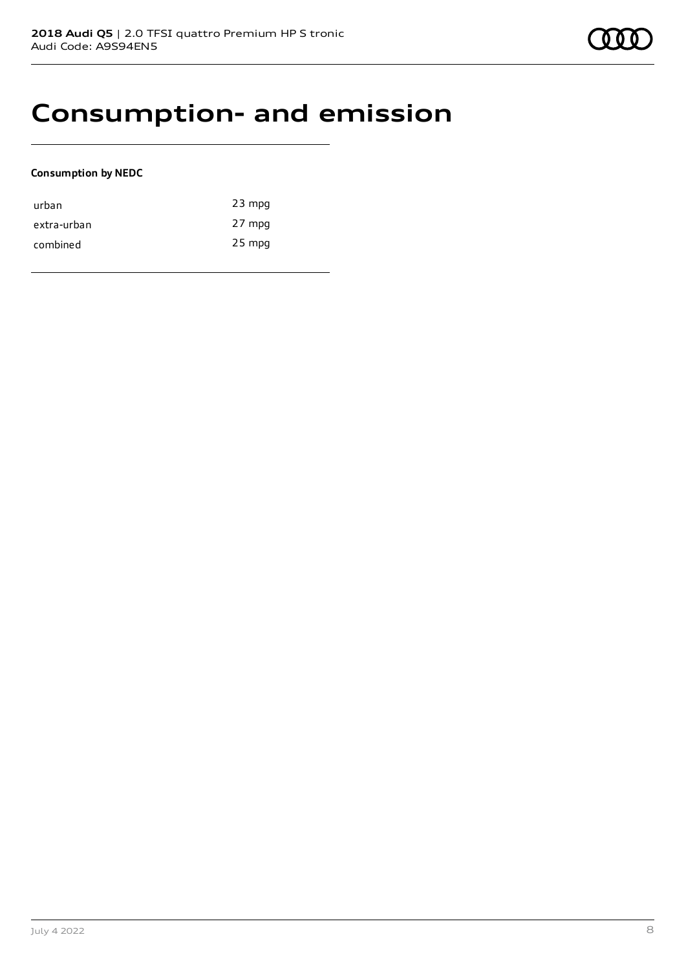## **Consumption- and emission**

### **Consumption by NEDC**

| urban       | $23$ mpg |
|-------------|----------|
| extra-urban | 27 mpg   |
| combined    | $25$ mpg |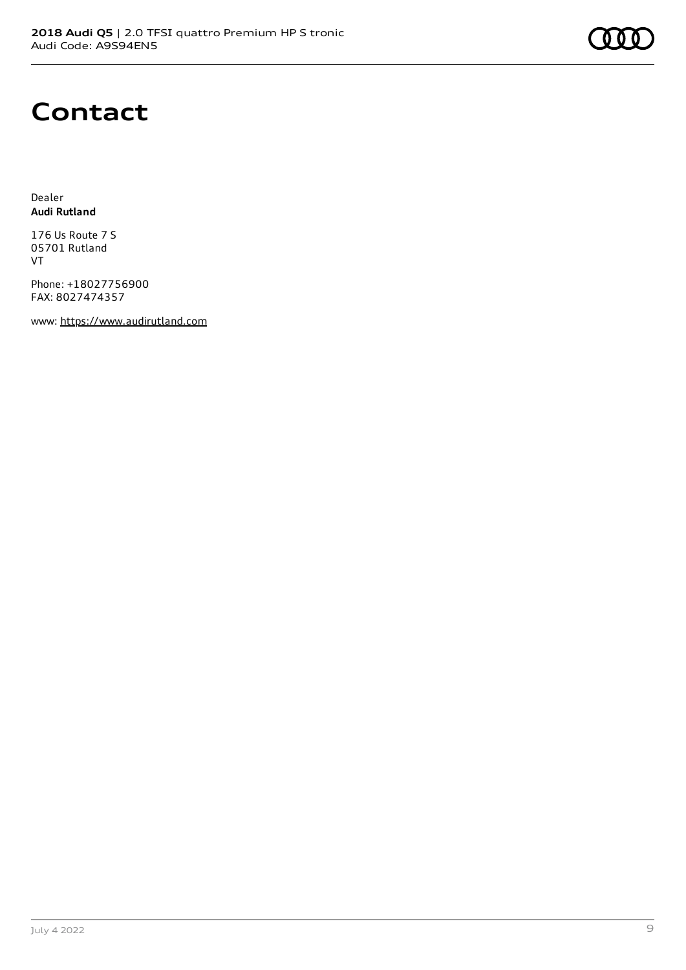## **Contact**

Dealer **Audi Rutland**

176 Us Route 7 S 05701 Rutland VT

Phone: +18027756900 FAX: 8027474357

www: [https://www.audirutland.com](https://www.audirutland.com/)